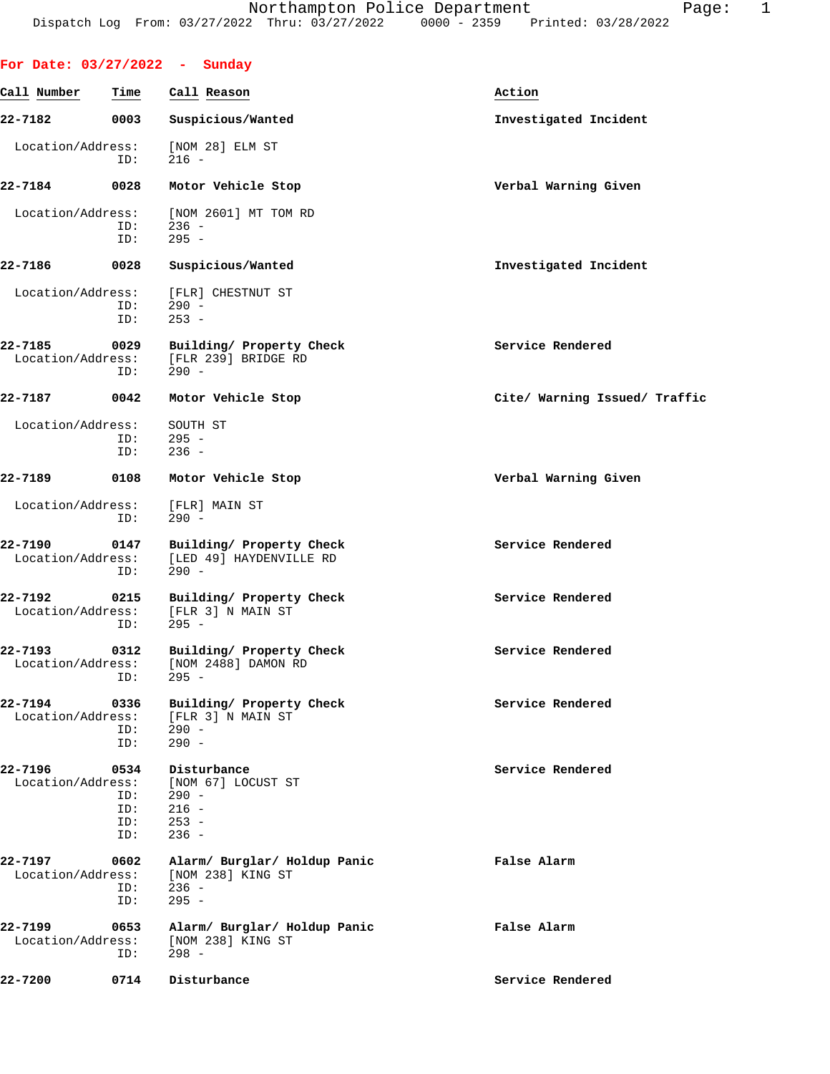|                              |                                  | For Date: $03/27/2022 - Sunday$                                              |                               |
|------------------------------|----------------------------------|------------------------------------------------------------------------------|-------------------------------|
| Call Number                  | Time                             | Call Reason                                                                  | Action                        |
| 22-7182                      | 0003                             | Suspicious/Wanted                                                            | Investigated Incident         |
| Location/Address:            | ID:                              | [NOM 28] ELM ST<br>$216 -$                                                   |                               |
| 22-7184                      | 0028                             | Motor Vehicle Stop                                                           | Verbal Warning Given          |
| Location/Address:            | ID:<br>ID:                       | [NOM 2601] MT TOM RD<br>$236 -$<br>$295 -$                                   |                               |
| 22-7186                      | 0028                             | Suspicious/Wanted                                                            | Investigated Incident         |
| Location/Address:            | ID:<br>ID:                       | [FLR] CHESTNUT ST<br>$290 -$<br>$253 -$                                      |                               |
| 22-7185<br>Location/Address: | 0029<br>ID:                      | Building/ Property Check<br>[FLR 239] BRIDGE RD<br>$290 -$                   | Service Rendered              |
| 22-7187                      | 0042                             | Motor Vehicle Stop                                                           | Cite/ Warning Issued/ Traffic |
| Location/Address:            | ID:<br>ID:                       | SOUTH ST<br>$295 -$<br>$236 -$                                               |                               |
| 22-7189                      | 0108                             | Motor Vehicle Stop                                                           | Verbal Warning Given          |
| Location/Address:            | ID:                              | [FLR] MAIN ST<br>$290 -$                                                     |                               |
| 22-7190<br>Location/Address: | 0147<br>ID:                      | Building/ Property Check<br>[LED 49] HAYDENVILLE RD<br>$290 -$               | Service Rendered              |
| 22-7192<br>Location/Address: | 0215<br>ID:                      | Building/ Property Check<br>[FLR 3] N MAIN ST<br>$295 -$                     | Service Rendered              |
| 22-7193                      | 0312<br>ID:                      | Building/ Property Check<br>Location/Address: [NOM 2488] DAMON RD<br>$295 -$ | Service Rendered              |
| 22-7194<br>Location/Address: | 0336<br>ID:<br>ID:               | Building/ Property Check<br>[FLR 3] N MAIN ST<br>290 -<br>$290 -$            | Service Rendered              |
| 22-7196<br>Location/Address: | 0534<br>ID:<br>ID:<br>ID:<br>ID: | Disturbance<br>[NOM 67] LOCUST ST<br>- 290<br>$216 -$<br>$253 -$<br>$236 -$  | Service Rendered              |
| 22-7197<br>Location/Address: | 0602<br>ID:<br>ID:               | Alarm/ Burglar/ Holdup Panic<br>[NOM 238] KING ST<br>$236 -$<br>$295 -$      | False Alarm                   |
| 22-7199<br>Location/Address: | 0653<br>ID:                      | Alarm/ Burglar/ Holdup Panic<br>[NOM 238] KING ST<br>$298 -$                 | False Alarm                   |
| 22-7200                      | 0714                             | Disturbance                                                                  | Service Rendered              |
|                              |                                  |                                                                              |                               |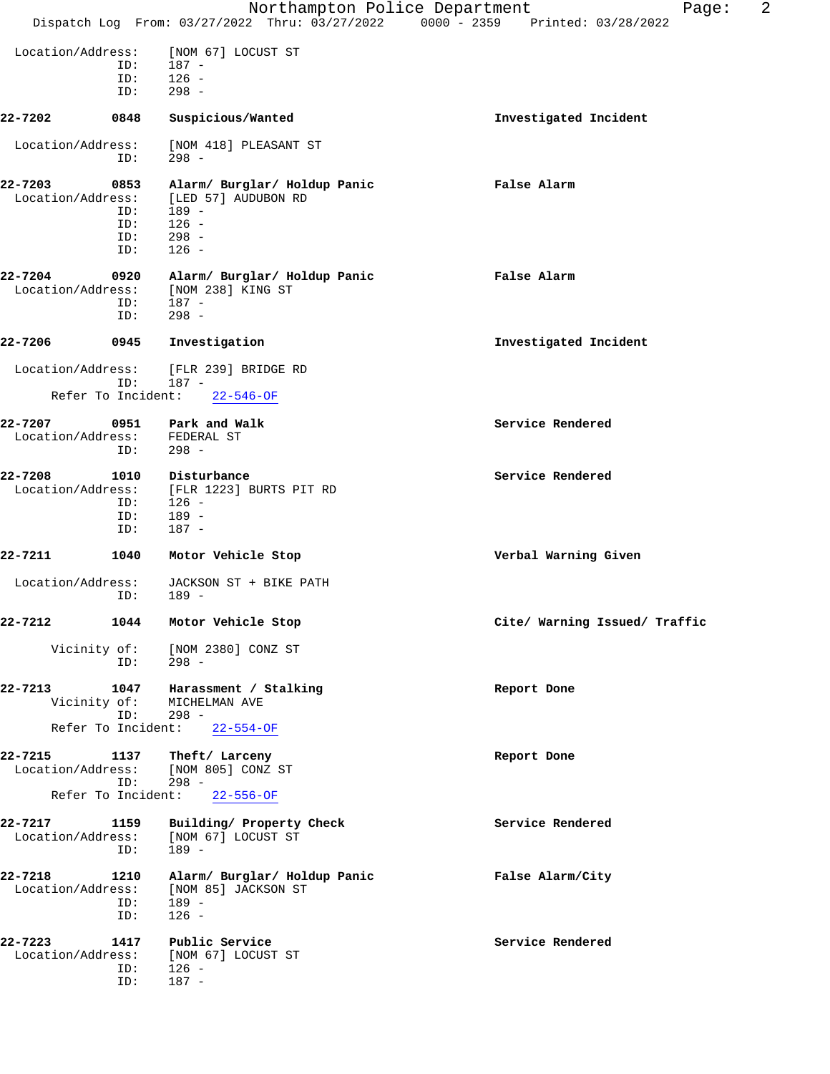|                                                           |                                                                                 | 2<br>Northampton Police Department<br>Page:<br>Dispatch Log From: 03/27/2022 Thru: 03/27/2022 0000 - 2359 Printed: 03/28/2022 |
|-----------------------------------------------------------|---------------------------------------------------------------------------------|-------------------------------------------------------------------------------------------------------------------------------|
|                                                           |                                                                                 |                                                                                                                               |
| Location/Address:                                         | [NOM 67] LOCUST ST                                                              |                                                                                                                               |
| ID:                                                       | 187 -                                                                           |                                                                                                                               |
| ID:                                                       | $126 -$                                                                         |                                                                                                                               |
| ID:                                                       | $298 -$                                                                         |                                                                                                                               |
| 22-7202<br>0848                                           | Suspicious/Wanted                                                               | Investigated Incident                                                                                                         |
| Location/Address:<br>ID:                                  | [NOM 418] PLEASANT ST<br>$298 -$                                                |                                                                                                                               |
| 22-7203<br>0853<br>Location/Address:<br>ID:<br>ID:        | Alarm/ Burglar/ Holdup Panic<br>[LED 57] AUDUBON RD<br>$189 -$<br>$126 -$       | False Alarm                                                                                                                   |
| ID:<br>ID:                                                | $298 -$<br>$126 -$                                                              |                                                                                                                               |
| 22-7204<br>0920<br>Location/Address:<br>ID:<br>ID:        | Alarm/ Burglar/ Holdup Panic<br>[NOM 238] KING ST<br>$187 -$<br>$298 -$         | False Alarm                                                                                                                   |
| 22-7206<br>0945                                           | Investigation                                                                   | Investigated Incident                                                                                                         |
| Location/Address:<br>ID:                                  | [FLR 239] BRIDGE RD<br>187 -                                                    |                                                                                                                               |
| Refer To Incident:                                        | $22 - 546 - OF$                                                                 |                                                                                                                               |
| 22-7207<br>0951<br>Location/Address:<br>ID:               | Park and Walk<br>FEDERAL ST<br>$298 -$                                          | Service Rendered                                                                                                              |
| 22-7208<br>1010<br>Location/Address:<br>ID:<br>ID:<br>ID: | Disturbance<br>[FLR 1223] BURTS PIT RD<br>$126 -$<br>$189 -$<br>$187 -$         | Service Rendered                                                                                                              |
| 22-7211<br>1040                                           | Motor Vehicle Stop                                                              | Verbal Warning Given                                                                                                          |
| Location/Address:<br>ID:                                  | JACKSON ST + BIKE PATH<br>189 -                                                 |                                                                                                                               |
| 22-7212<br>1044                                           | Motor Vehicle Stop                                                              | Cite/ Warning Issued/ Traffic                                                                                                 |
| Vicinity of:<br>ID:                                       | [NOM 2380] CONZ ST<br>$298 -$                                                   |                                                                                                                               |
| 1047<br>22-7213<br>Vicinity of:<br>ID:                    | Harassment / Stalking<br>MICHELMAN AVE<br>298 -<br>Refer To Incident: 22-554-OF | Report Done                                                                                                                   |
|                                                           |                                                                                 |                                                                                                                               |
| 22-7215<br>1137<br>Location/Address:<br>ID:               | Theft/ Larceny<br>[NOM 805] CONZ ST<br>$298 -$<br>Refer To Incident: 22-556-OF  | Report Done                                                                                                                   |
| 22-7217<br>1159<br>Location/Address:<br>ID:               | Building/ Property Check<br>[NOM 67] LOCUST ST<br>$189 -$                       | Service Rendered                                                                                                              |
| 22-7218<br>1210<br>Location/Address:<br>ID:<br>ID:        | Alarm/ Burglar/ Holdup Panic<br>[NOM 85] JACKSON ST<br>$189 -$<br>$126 -$       | False Alarm/City                                                                                                              |
| 22-7223<br>1417<br>Location/Address:<br>ID:<br>ID:        | Public Service<br>[NOM 67] LOCUST ST<br>$126 -$<br>$187 -$                      | Service Rendered                                                                                                              |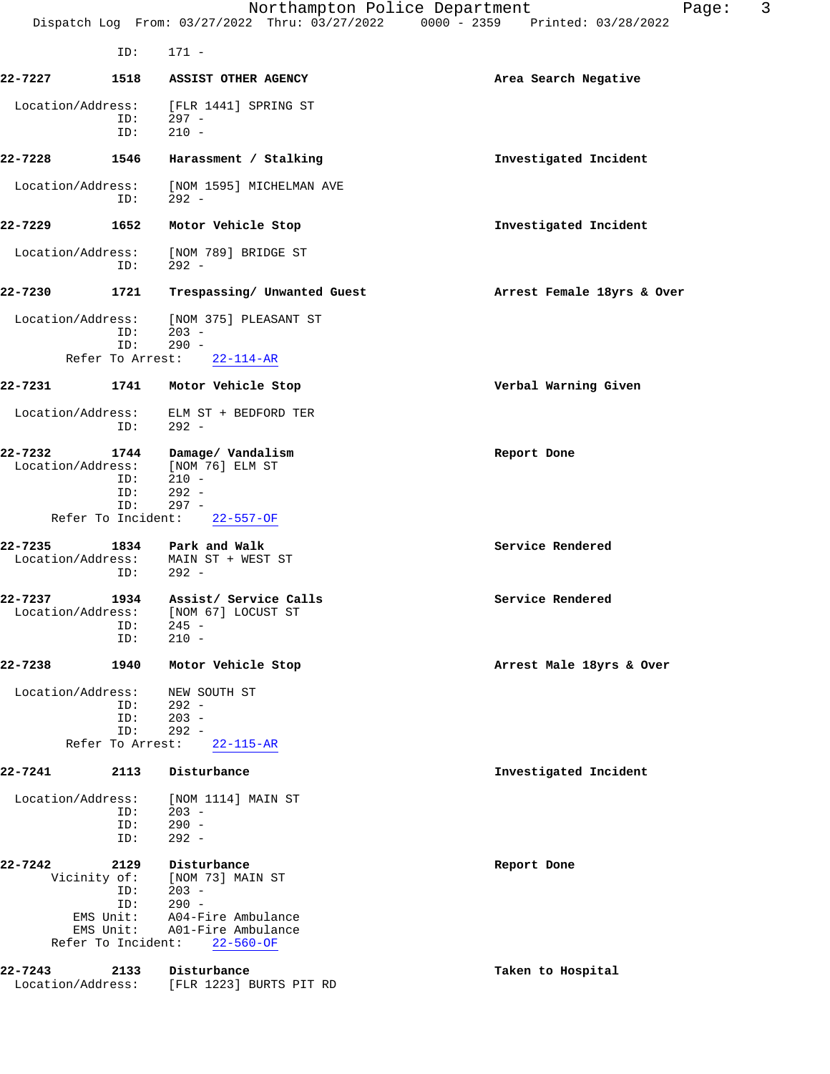|                              | ID:                       | $171 -$                                     |                            |  |
|------------------------------|---------------------------|---------------------------------------------|----------------------------|--|
| 22-7227                      | 1518                      | ASSIST OTHER AGENCY                         | Area Search Negative       |  |
| Location/Address:            |                           | [FLR 1441] SPRING ST                        |                            |  |
|                              | ID:                       | $297 -$                                     |                            |  |
|                              | ID:                       | $210 -$                                     |                            |  |
| 22-7228                      | 1546                      | Harassment / Stalking                       | Investigated Incident      |  |
| Location/Address:            | ID:                       | [NOM 1595] MICHELMAN AVE<br>$292 -$         |                            |  |
| 22-7229                      | 1652                      | Motor Vehicle Stop                          | Investigated Incident      |  |
| Location/Address:            | ID:                       | [NOM 789] BRIDGE ST<br>$292 -$              |                            |  |
| 22-7230                      | 1721                      | Trespassing/ Unwanted Guest                 | Arrest Female 18yrs & Over |  |
| Location/Address:            | ID:<br>ID:                | [NOM 375] PLEASANT ST<br>$203 -$<br>$290 -$ |                            |  |
|                              | Refer To Arrest:          | $22 - 114 - AR$                             |                            |  |
| 22-7231                      | 1741                      | Motor Vehicle Stop                          | Verbal Warning Given       |  |
| Location/Address:            | ID:                       | ELM ST + BEDFORD TER<br>$292 -$             |                            |  |
|                              |                           |                                             |                            |  |
| 22-7232<br>Location/Address: | 1744                      | Damage/ Vandalism<br>[NOM 76] ELM ST        | Report Done                |  |
|                              | ID:                       | $210 -$                                     |                            |  |
|                              | ID:                       | $292 -$                                     |                            |  |
|                              | ID:<br>Refer To Incident: | $297 -$<br>$22 - 557 - OF$                  |                            |  |
|                              |                           |                                             |                            |  |
| 22-7235                      | 1834                      | Park and Walk                               | Service Rendered           |  |
| Location/Address:            | ID:                       | MAIN ST + WEST ST<br>$292 -$                |                            |  |
|                              |                           |                                             |                            |  |
| 22-7237                      | 1934                      | Assist/ Service Calls                       | Service Rendered           |  |
| Location/Address:            |                           | [NOM 67] LOCUST ST                          |                            |  |
|                              | ID:<br>ID:                | $245 -$<br>$210 -$                          |                            |  |
|                              |                           |                                             |                            |  |
| 22-7238                      | 1940                      | Motor Vehicle Stop                          | Arrest Male 18yrs & Over   |  |
| Location/Address:            |                           | NEW SOUTH ST                                |                            |  |
|                              | ID:                       | $292 -$                                     |                            |  |
|                              | ID:                       | $203 -$                                     |                            |  |
|                              | ID:<br>Refer To Arrest:   | $292 -$<br>$22 - 115 - AR$                  |                            |  |
|                              |                           |                                             |                            |  |
| 22-7241                      | 2113                      | Disturbance                                 | Investigated Incident      |  |
| Location/Address:            |                           | [NOM 1114] MAIN ST                          |                            |  |
|                              | ID:                       | $203 -$                                     |                            |  |
|                              | ID:<br>ID:                | $290 -$<br>$292 -$                          |                            |  |
|                              |                           |                                             |                            |  |
| 22-7242                      | 2129                      | Disturbance                                 | Report Done                |  |
|                              | Vicinity of:<br>ID:       | [NOM 73] MAIN ST<br>$203 -$                 |                            |  |
|                              | ID:                       | $290 -$                                     |                            |  |
|                              | EMS Unit:                 | A04-Fire Ambulance                          |                            |  |
|                              | EMS Unit:                 | A01-Fire Ambulance                          |                            |  |
|                              | Refer To Incident:        | $22 - 560 - OF$                             |                            |  |
| 22-7243                      | 2133                      | Disturbance                                 | Taken to Hospital          |  |
| Location/Address:            |                           | [FLR 1223] BURTS PIT RD                     |                            |  |
|                              |                           |                                             |                            |  |